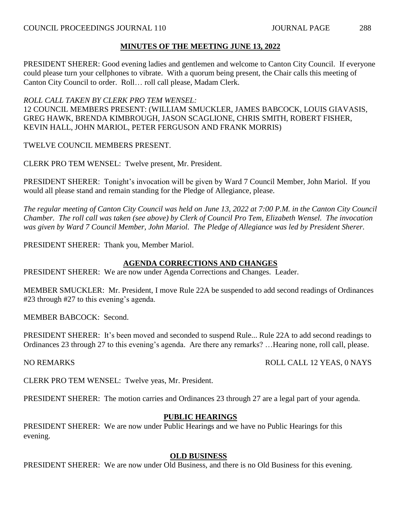PRESIDENT SHERER: Good evening ladies and gentlemen and welcome to Canton City Council. If everyone could please turn your cellphones to vibrate. With a quorum being present, the Chair calls this meeting of Canton City Council to order. Roll… roll call please, Madam Clerk.

# *ROLL CALL TAKEN BY CLERK PRO TEM WENSEL:*

12 COUNCIL MEMBERS PRESENT: (WILLIAM SMUCKLER, JAMES BABCOCK, LOUIS GIAVASIS, GREG HAWK, BRENDA KIMBROUGH, JASON SCAGLIONE, CHRIS SMITH, ROBERT FISHER, KEVIN HALL, JOHN MARIOL, PETER FERGUSON AND FRANK MORRIS)

TWELVE COUNCIL MEMBERS PRESENT.

CLERK PRO TEM WENSEL: Twelve present, Mr. President.

PRESIDENT SHERER: Tonight's invocation will be given by Ward 7 Council Member, John Mariol. If you would all please stand and remain standing for the Pledge of Allegiance, please.

*The regular meeting of Canton City Council was held on June 13, 2022 at 7:00 P.M. in the Canton City Council Chamber. The roll call was taken (see above) by Clerk of Council Pro Tem, Elizabeth Wensel. The invocation was given by Ward 7 Council Member, John Mariol. The Pledge of Allegiance was led by President Sherer.*

PRESIDENT SHERER: Thank you, Member Mariol.

# **AGENDA CORRECTIONS AND CHANGES**

PRESIDENT SHERER: We are now under Agenda Corrections and Changes. Leader.

MEMBER SMUCKLER: Mr. President, I move Rule 22A be suspended to add second readings of Ordinances #23 through #27 to this evening's agenda.

MEMBER BABCOCK: Second.

PRESIDENT SHERER: It's been moved and seconded to suspend Rule... Rule 22A to add second readings to Ordinances 23 through 27 to this evening's agenda. Are there any remarks? …Hearing none, roll call, please.

NO REMARKS ROLL CALL 12 YEAS, 0 NAYS

CLERK PRO TEM WENSEL: Twelve yeas, Mr. President.

PRESIDENT SHERER: The motion carries and Ordinances 23 through 27 are a legal part of your agenda.

# **PUBLIC HEARINGS**

PRESIDENT SHERER: We are now under Public Hearings and we have no Public Hearings for this evening.

# **OLD BUSINESS**

PRESIDENT SHERER: We are now under Old Business, and there is no Old Business for this evening.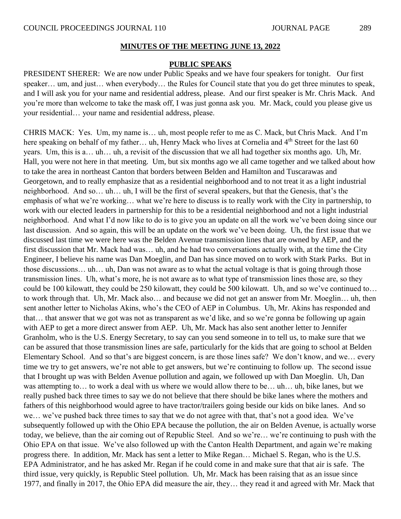#### **PUBLIC SPEAKS**

PRESIDENT SHERER: We are now under Public Speaks and we have four speakers for tonight. Our first speaker... um, and just... when everybody... the Rules for Council state that you do get three minutes to speak, and I will ask you for your name and residential address, please. And our first speaker is Mr. Chris Mack. And you're more than welcome to take the mask off, I was just gonna ask you. Mr. Mack, could you please give us your residential… your name and residential address, please.

CHRIS MACK: Yes. Um, my name is… uh, most people refer to me as C. Mack, but Chris Mack. And I'm here speaking on behalf of my father... uh, Henry Mack who lives at Cornelia and 4<sup>th</sup> Street for the last 60 years. Um, this is a… uh… uh, a revisit of the discussion that we all had together six months ago. Uh, Mr. Hall, you were not here in that meeting. Um, but six months ago we all came together and we talked about how to take the area in northeast Canton that borders between Belden and Hamilton and Tuscarawas and Georgetown, and to really emphasize that as a residential neighborhood and to not treat it as a light industrial neighborhood. And so… uh… uh, I will be the first of several speakers, but that the Genesis, that's the emphasis of what we're working… what we're here to discuss is to really work with the City in partnership, to work with our elected leaders in partnership for this to be a residential neighborhood and not a light industrial neighborhood. And what I'd now like to do is to give you an update on all the work we've been doing since our last discussion. And so again, this will be an update on the work we've been doing. Uh, the first issue that we discussed last time we were here was the Belden Avenue transmission lines that are owned by AEP, and the first discussion that Mr. Mack had was… uh, and he had two conversations actually with, at the time the City Engineer, I believe his name was Dan Moeglin, and Dan has since moved on to work with Stark Parks. But in those discussions… uh… uh, Dan was not aware as to what the actual voltage is that is going through those transmission lines. Uh, what's more, he is not aware as to what type of transmission lines those are, so they could be 100 kilowatt, they could be 250 kilowatt, they could be 500 kilowatt. Uh, and so we've continued to… to work through that. Uh, Mr. Mack also… and because we did not get an answer from Mr. Moeglin… uh, then sent another letter to Nicholas Akins, who's the CEO of AEP in Columbus. Uh, Mr. Akins has responded and that… that answer that we got was not as transparent as we'd like, and so we're gonna be following up again with AEP to get a more direct answer from AEP. Uh, Mr. Mack has also sent another letter to Jennifer Granholm, who is the U.S. Energy Secretary, to say can you send someone in to tell us, to make sure that we can be assured that those transmission lines are safe, particularly for the kids that are going to school at Belden Elementary School. And so that's are biggest concern, is are those lines safe? We don't know, and we… every time we try to get answers, we're not able to get answers, but we're continuing to follow up. The second issue that I brought up was with Belden Avenue pollution and again, we followed up with Dan Moeglin. Uh, Dan was attempting to… to work a deal with us where we would allow there to be… uh… uh, bike lanes, but we really pushed back three times to say we do not believe that there should be bike lanes where the mothers and fathers of this neighborhood would agree to have tractor/trailers going beside our kids on bike lanes. And so we… we've pushed back three times to say that we do not agree with that, that's not a good idea. We've subsequently followed up with the Ohio EPA because the pollution, the air on Belden Avenue, is actually worse today, we believe, than the air coming out of Republic Steel. And so we're… we're continuing to push with the Ohio EPA on that issue. We've also followed up with the Canton Health Department, and again we're making progress there. In addition, Mr. Mack has sent a letter to Mike Regan… Michael S. Regan, who is the U.S. EPA Administrator, and he has asked Mr. Regan if he could come in and make sure that that air is safe. The third issue, very quickly, is Republic Steel pollution. Uh, Mr. Mack has been raising that as an issue since 1977, and finally in 2017, the Ohio EPA did measure the air, they… they read it and agreed with Mr. Mack that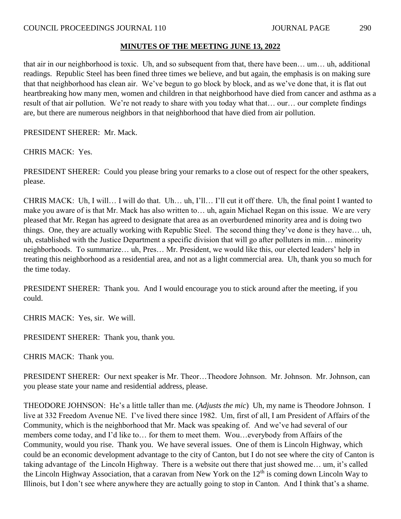that air in our neighborhood is toxic. Uh, and so subsequent from that, there have been… um… uh, additional readings. Republic Steel has been fined three times we believe, and but again, the emphasis is on making sure that that neighborhood has clean air. We've begun to go block by block, and as we've done that, it is flat out heartbreaking how many men, women and children in that neighborhood have died from cancer and asthma as a result of that air pollution. We're not ready to share with you today what that… our… our complete findings are, but there are numerous neighbors in that neighborhood that have died from air pollution.

PRESIDENT SHERER: Mr. Mack.

CHRIS MACK: Yes.

PRESIDENT SHERER: Could you please bring your remarks to a close out of respect for the other speakers, please.

CHRIS MACK: Uh, I will… I will do that. Uh… uh, I'll… I'll cut it off there. Uh, the final point I wanted to make you aware of is that Mr. Mack has also written to… uh, again Michael Regan on this issue. We are very pleased that Mr. Regan has agreed to designate that area as an overburdened minority area and is doing two things. One, they are actually working with Republic Steel. The second thing they've done is they have… uh, uh, established with the Justice Department a specific division that will go after polluters in min… minority neighborhoods. To summarize… uh, Pres… Mr. President, we would like this, our elected leaders' help in treating this neighborhood as a residential area, and not as a light commercial area. Uh, thank you so much for the time today.

PRESIDENT SHERER: Thank you. And I would encourage you to stick around after the meeting, if you could.

CHRIS MACK: Yes, sir. We will.

PRESIDENT SHERER: Thank you, thank you.

CHRIS MACK: Thank you.

PRESIDENT SHERER: Our next speaker is Mr. Theor…Theodore Johnson. Mr. Johnson. Mr. Johnson, can you please state your name and residential address, please.

THEODORE JOHNSON: He's a little taller than me. (*Adjusts the mic*) Uh, my name is Theodore Johnson. I live at 332 Freedom Avenue NE. I've lived there since 1982. Um, first of all, I am President of Affairs of the Community, which is the neighborhood that Mr. Mack was speaking of. And we've had several of our members come today, and I'd like to… for them to meet them. Wou…everybody from Affairs of the Community, would you rise. Thank you. We have several issues. One of them is Lincoln Highway, which could be an economic development advantage to the city of Canton, but I do not see where the city of Canton is taking advantage of the Lincoln Highway. There is a website out there that just showed me… um, it's called the Lincoln Highway Association, that a caravan from New York on the  $12<sup>th</sup>$  is coming down Lincoln Way to Illinois, but I don't see where anywhere they are actually going to stop in Canton. And I think that's a shame.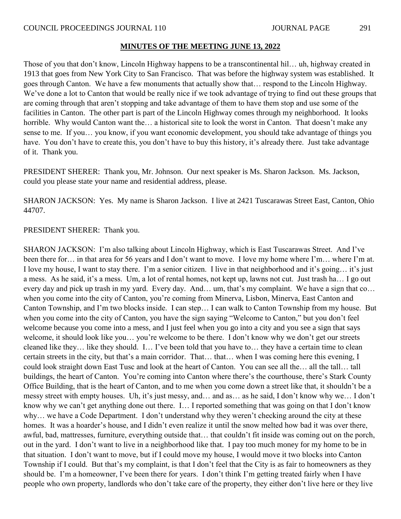Those of you that don't know, Lincoln Highway happens to be a transcontinental hil… uh, highway created in 1913 that goes from New York City to San Francisco. That was before the highway system was established. It goes through Canton. We have a few monuments that actually show that… respond to the Lincoln Highway. We've done a lot to Canton that would be really nice if we took advantage of trying to find out these groups that are coming through that aren't stopping and take advantage of them to have them stop and use some of the facilities in Canton. The other part is part of the Lincoln Highway comes through my neighborhood. It looks horrible. Why would Canton want the... a historical site to look the worst in Canton. That doesn't make any sense to me. If you… you know, if you want economic development, you should take advantage of things you have. You don't have to create this, you don't have to buy this history, it's already there. Just take advantage of it. Thank you.

PRESIDENT SHERER: Thank you, Mr. Johnson. Our next speaker is Ms. Sharon Jackson. Ms. Jackson, could you please state your name and residential address, please.

SHARON JACKSON: Yes. My name is Sharon Jackson. I live at 2421 Tuscarawas Street East, Canton, Ohio 44707.

PRESIDENT SHERER: Thank you.

SHARON JACKSON: I'm also talking about Lincoln Highway, which is East Tuscarawas Street. And I've been there for… in that area for 56 years and I don't want to move. I love my home where I'm… where I'm at. I love my house, I want to stay there. I'm a senior citizen. I live in that neighborhood and it's going… it's just a mess. As he said, it's a mess. Um, a lot of rental homes, not kept up, lawns not cut. Just trash ha… I go out every day and pick up trash in my yard. Every day. And… um, that's my complaint. We have a sign that co… when you come into the city of Canton, you're coming from Minerva, Lisbon, Minerva, East Canton and Canton Township, and I'm two blocks inside. I can step… I can walk to Canton Township from my house. But when you come into the city of Canton, you have the sign saying "Welcome to Canton," but you don't feel welcome because you come into a mess, and I just feel when you go into a city and you see a sign that says welcome, it should look like you… you're welcome to be there. I don't know why we don't get our streets cleaned like they… like they should. I… I've been told that you have to… they have a certain time to clean certain streets in the city, but that's a main corridor. That… that… when I was coming here this evening, I could look straight down East Tusc and look at the heart of Canton. You can see all the… all the tall… tall buildings, the heart of Canton. You're coming into Canton where there's the courthouse, there's Stark County Office Building, that is the heart of Canton, and to me when you come down a street like that, it shouldn't be a messy street with empty houses. Uh, it's just messy, and… and as… as he said, I don't know why we… I don't know why we can't get anything done out there. I… I reported something that was going on that I don't know why… we have a Code Department. I don't understand why they weren't checking around the city at these homes. It was a hoarder's house, and I didn't even realize it until the snow melted how bad it was over there, awful, bad, mattresses, furniture, everything outside that… that couldn't fit inside was coming out on the porch, out in the yard. I don't want to live in a neighborhood like that. I pay too much money for my home to be in that situation. I don't want to move, but if I could move my house, I would move it two blocks into Canton Township if I could. But that's my complaint, is that I don't feel that the City is as fair to homeowners as they should be. I'm a homeowner, I've been there for years. I don't think I'm getting treated fairly when I have people who own property, landlords who don't take care of the property, they either don't live here or they live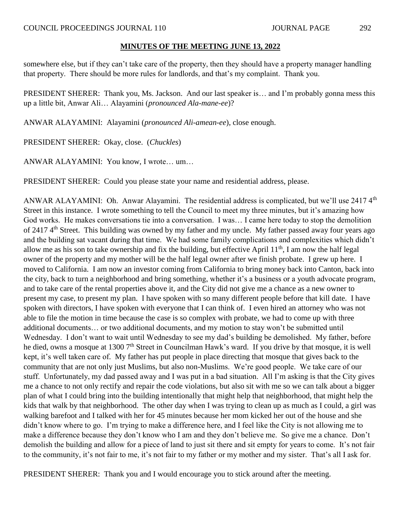somewhere else, but if they can't take care of the property, then they should have a property manager handling that property. There should be more rules for landlords, and that's my complaint. Thank you.

PRESIDENT SHERER: Thank you, Ms. Jackson. And our last speaker is… and I'm probably gonna mess this up a little bit, Anwar Ali… Alayamini (*pronounced Ala-mane-ee*)?

ANWAR ALAYAMINI: Alayamini (*pronounced Ali-amean-ee*), close enough.

PRESIDENT SHERER: Okay, close. (*Chuckles*)

ANWAR ALAYAMINI: You know, I wrote… um…

PRESIDENT SHERER: Could you please state your name and residential address, please.

ANWAR ALAYAMINI: Oh. Anwar Alayamini. The residential address is complicated, but we'll use 2417 4<sup>th</sup> Street in this instance. I wrote something to tell the Council to meet my three minutes, but it's amazing how God works. He makes conversations tie into a conversation. I was… I came here today to stop the demolition of 2417 4<sup>th</sup> Street. This building was owned by my father and my uncle. My father passed away four years ago and the building sat vacant during that time. We had some family complications and complexities which didn't allow me as his son to take ownership and fix the building, but effective April 11th, I am now the half legal owner of the property and my mother will be the half legal owner after we finish probate. I grew up here. I moved to California. I am now an investor coming from California to bring money back into Canton, back into the city, back to turn a neighborhood and bring something, whether it's a business or a youth advocate program, and to take care of the rental properties above it, and the City did not give me a chance as a new owner to present my case, to present my plan. I have spoken with so many different people before that kill date. I have spoken with directors, I have spoken with everyone that I can think of. I even hired an attorney who was not able to file the motion in time because the case is so complex with probate, we had to come up with three additional documents… or two additional documents, and my motion to stay won't be submitted until Wednesday. I don't want to wait until Wednesday to see my dad's building be demolished. My father, before he died, owns a mosque at 1300 7<sup>th</sup> Street in Councilman Hawk's ward. If you drive by that mosque, it is well kept, it's well taken care of. My father has put people in place directing that mosque that gives back to the community that are not only just Muslims, but also non-Muslims. We're good people. We take care of our stuff. Unfortunately, my dad passed away and I was put in a bad situation. All I'm asking is that the City gives me a chance to not only rectify and repair the code violations, but also sit with me so we can talk about a bigger plan of what I could bring into the building intentionally that might help that neighborhood, that might help the kids that walk by that neighborhood. The other day when I was trying to clean up as much as I could, a girl was walking barefoot and I talked with her for 45 minutes because her mom kicked her out of the house and she didn't know where to go. I'm trying to make a difference here, and I feel like the City is not allowing me to make a difference because they don't know who I am and they don't believe me. So give me a chance. Don't demolish the building and allow for a piece of land to just sit there and sit empty for years to come. It's not fair to the community, it's not fair to me, it's not fair to my father or my mother and my sister. That's all I ask for.

PRESIDENT SHERER: Thank you and I would encourage you to stick around after the meeting.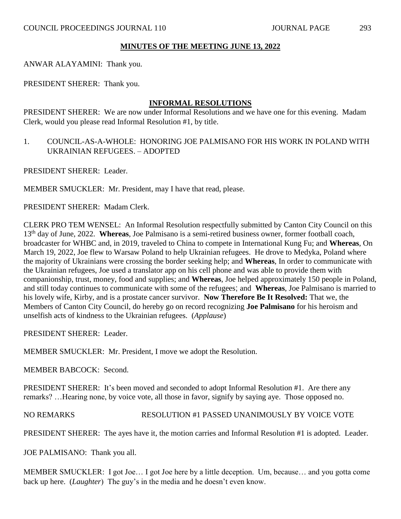ANWAR ALAYAMINI: Thank you.

PRESIDENT SHERER: Thank you.

#### **INFORMAL RESOLUTIONS**

PRESIDENT SHERER: We are now under Informal Resolutions and we have one for this evening. Madam Clerk, would you please read Informal Resolution #1, by title.

1. COUNCIL-AS-A-WHOLE: HONORING JOE PALMISANO FOR HIS WORK IN POLAND WITH UKRAINIAN REFUGEES. – ADOPTED

PRESIDENT SHERER: Leader.

MEMBER SMUCKLER: Mr. President, may I have that read, please.

PRESIDENT SHERER: Madam Clerk.

CLERK PRO TEM WENSEL: An Informal Resolution respectfully submitted by Canton City Council on this 13th day of June, 2022. **Whereas**, Joe Palmisano is a semi-retired business owner, former football coach, broadcaster for WHBC and, in 2019, traveled to China to compete in International Kung Fu; and **Whereas**, On March 19, 2022, Joe flew to Warsaw Poland to help Ukrainian refugees. He drove to Medyka, Poland where the majority of Ukrainians were crossing the border seeking help; and **Whereas**, In order to communicate with the Ukrainian refugees, Joe used a translator app on his cell phone and was able to provide them with companionship, trust, money, food and supplies; and **Whereas**, Joe helped approximately 150 people in Poland, and still today continues to communicate with some of the refugees; and **Whereas**, Joe Palmisano is married to his lovely wife, Kirby, and is a prostate cancer survivor. **Now Therefore Be It Resolved:** That we, the Members of Canton City Council, do hereby go on record recognizing **Joe Palmisano** for his heroism and unselfish acts of kindness to the Ukrainian refugees. (*Applause*)

PRESIDENT SHERER: Leader.

MEMBER SMUCKLER: Mr. President, I move we adopt the Resolution.

MEMBER BABCOCK: Second.

PRESIDENT SHERER: It's been moved and seconded to adopt Informal Resolution #1. Are there any remarks? …Hearing none, by voice vote, all those in favor, signify by saying aye. Those opposed no.

NO REMARKS RESOLUTION #1 PASSED UNANIMOUSLY BY VOICE VOTE

PRESIDENT SHERER: The ayes have it, the motion carries and Informal Resolution #1 is adopted. Leader.

JOE PALMISANO: Thank you all.

MEMBER SMUCKLER: I got Joe… I got Joe here by a little deception. Um, because… and you gotta come back up here. (*Laughter*) The guy's in the media and he doesn't even know.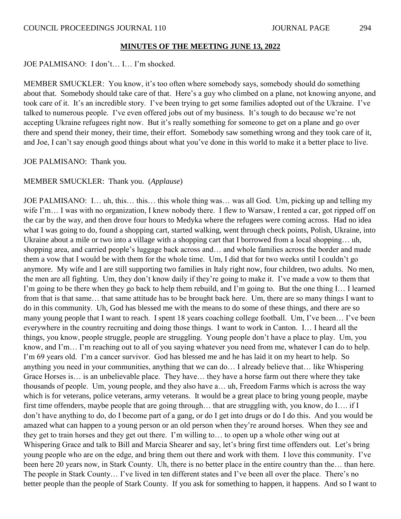JOE PALMISANO: I don't… I… I'm shocked.

MEMBER SMUCKLER: You know, it's too often where somebody says, somebody should do something about that. Somebody should take care of that. Here's a guy who climbed on a plane, not knowing anyone, and took care of it. It's an incredible story. I've been trying to get some families adopted out of the Ukraine. I've talked to numerous people. I've even offered jobs out of my business. It's tough to do because we're not accepting Ukraine refugees right now. But it's really something for someone to get on a plane and go over there and spend their money, their time, their effort. Somebody saw something wrong and they took care of it, and Joe, I can't say enough good things about what you've done in this world to make it a better place to live.

JOE PALMISANO: Thank you.

#### MEMBER SMUCKLER: Thank you. (*Applause*)

JOE PALMISANO: I… uh, this… this… this whole thing was… was all God. Um, picking up and telling my wife I'm... I was with no organization, I knew nobody there. I flew to Warsaw, I rented a car, got ripped off on the car by the way, and then drove four hours to Medyka where the refugees were coming across. Had no idea what I was going to do, found a shopping cart, started walking, went through check points, Polish, Ukraine, into Ukraine about a mile or two into a village with a shopping cart that I borrowed from a local shopping… uh, shopping area, and carried people's luggage back across and… and whole families across the border and made them a vow that I would be with them for the whole time. Um, I did that for two weeks until I couldn't go anymore. My wife and I are still supporting two families in Italy right now, four children, two adults. No men, the men are all fighting. Um, they don't know daily if they're going to make it. I've made a vow to them that I'm going to be there when they go back to help them rebuild, and I'm going to. But the one thing I… I learned from that is that same… that same attitude has to be brought back here. Um, there are so many things I want to do in this community. Uh, God has blessed me with the means to do some of these things, and there are so many young people that I want to reach. I spent 18 years coaching college football. Um, I've been… I've been everywhere in the country recruiting and doing those things. I want to work in Canton. I… I heard all the things, you know, people struggle, people are struggling. Young people don't have a place to play. Um, you know, and I'm… I'm reaching out to all of you saying whatever you need from me, whatever I can do to help. I'm 69 years old. I'm a cancer survivor. God has blessed me and he has laid it on my heart to help. So anything you need in your communities, anything that we can do… I already believe that… like Whispering Grace Horses is… is an unbelievable place. They have… they have a horse farm out there where they take thousands of people. Um, young people, and they also have a… uh, Freedom Farms which is across the way which is for veterans, police veterans, army veterans. It would be a great place to bring young people, maybe first time offenders, maybe people that are going through… that are struggling with, you know, do I…. if I don't have anything to do, do I become part of a gang, or do I get into drugs or do I do this. And you would be amazed what can happen to a young person or an old person when they're around horses. When they see and they get to train horses and they get out there. I'm willing to… to open up a whole other wing out at Whispering Grace and talk to Bill and Marcia Shearer and say, let's bring first time offenders out. Let's bring young people who are on the edge, and bring them out there and work with them. I love this community. I've been here 20 years now, in Stark County. Uh, there is no better place in the entire country than the… than here. The people in Stark County… I've lived in ten different states and I've been all over the place. There's no better people than the people of Stark County. If you ask for something to happen, it happens. And so I want to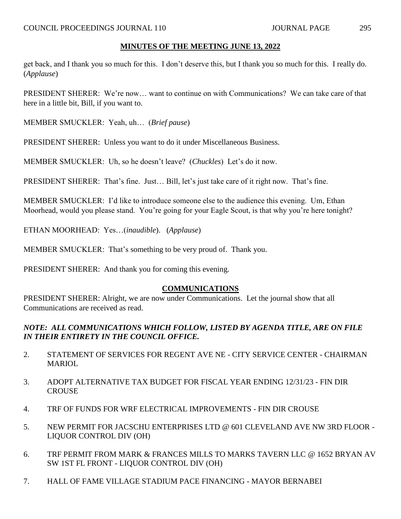get back, and I thank you so much for this. I don't deserve this, but I thank you so much for this. I really do. (*Applause*)

PRESIDENT SHERER: We're now… want to continue on with Communications? We can take care of that here in a little bit, Bill, if you want to.

MEMBER SMUCKLER: Yeah, uh… (*Brief pause*)

PRESIDENT SHERER: Unless you want to do it under Miscellaneous Business.

MEMBER SMUCKLER: Uh, so he doesn't leave? (*Chuckles*) Let's do it now.

PRESIDENT SHERER: That's fine. Just… Bill, let's just take care of it right now. That's fine.

MEMBER SMUCKLER: I'd like to introduce someone else to the audience this evening. Um, Ethan Moorhead, would you please stand. You're going for your Eagle Scout, is that why you're here tonight?

ETHAN MOORHEAD: Yes…(*inaudible*). (*Applause*)

MEMBER SMUCKLER: That's something to be very proud of. Thank you.

PRESIDENT SHERER: And thank you for coming this evening.

# **COMMUNICATIONS**

PRESIDENT SHERER: Alright, we are now under Communications. Let the journal show that all Communications are received as read.

# *NOTE: ALL COMMUNICATIONS WHICH FOLLOW, LISTED BY AGENDA TITLE, ARE ON FILE IN THEIR ENTIRETY IN THE COUNCIL OFFICE.*

- 2. STATEMENT OF SERVICES FOR REGENT AVE NE CITY SERVICE CENTER CHAIRMAN MARIOL.
- 3. ADOPT ALTERNATIVE TAX BUDGET FOR FISCAL YEAR ENDING 12/31/23 FIN DIR **CROUSE**
- 4. TRF OF FUNDS FOR WRF ELECTRICAL IMPROVEMENTS FIN DIR CROUSE
- 5. NEW PERMIT FOR JACSCHU ENTERPRISES LTD @ 601 CLEVELAND AVE NW 3RD FLOOR LIQUOR CONTROL DIV (OH)
- 6. TRF PERMIT FROM MARK & FRANCES MILLS TO MARKS TAVERN LLC @ 1652 BRYAN AV SW 1ST FL FRONT - LIQUOR CONTROL DIV (OH)
- 7. HALL OF FAME VILLAGE STADIUM PACE FINANCING MAYOR BERNABEI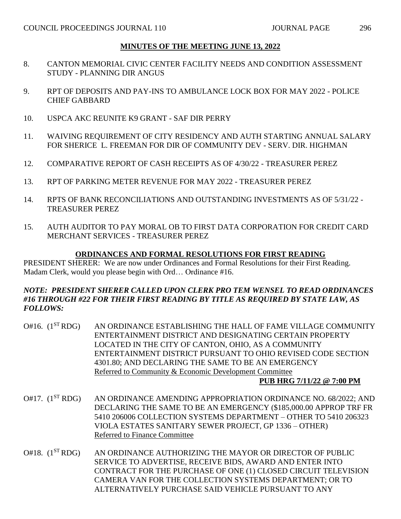- 8. CANTON MEMORIAL CIVIC CENTER FACILITY NEEDS AND CONDITION ASSESSMENT STUDY - PLANNING DIR ANGUS
- 9. RPT OF DEPOSITS AND PAY-INS TO AMBULANCE LOCK BOX FOR MAY 2022 POLICE CHIEF GABBARD
- 10. USPCA AKC REUNITE K9 GRANT SAF DIR PERRY
- 11. WAIVING REQUIREMENT OF CITY RESIDENCY AND AUTH STARTING ANNUAL SALARY FOR SHERICE L. FREEMAN FOR DIR OF COMMUNITY DEV - SERV. DIR. HIGHMAN
- 12. COMPARATIVE REPORT OF CASH RECEIPTS AS OF 4/30/22 TREASURER PEREZ
- 13. RPT OF PARKING METER REVENUE FOR MAY 2022 TREASURER PEREZ
- 14. RPTS OF BANK RECONCILIATIONS AND OUTSTANDING INVESTMENTS AS OF 5/31/22 TREASURER PEREZ
- 15. AUTH AUDITOR TO PAY MORAL OB TO FIRST DATA CORPORATION FOR CREDIT CARD MERCHANT SERVICES - TREASURER PEREZ

# **ORDINANCES AND FORMAL RESOLUTIONS FOR FIRST READING**

PRESIDENT SHERER: We are now under Ordinances and Formal Resolutions for their First Reading. Madam Clerk, would you please begin with Ord… Ordinance #16.

#### *NOTE: PRESIDENT SHERER CALLED UPON CLERK PRO TEM WENSEL TO READ ORDINANCES #16 THROUGH #22 FOR THEIR FIRST READING BY TITLE AS REQUIRED BY STATE LAW, AS FOLLOWS:*

O#16. (1<sup>ST</sup> RDG) AN ORDINANCE ESTABLISHING THE HALL OF FAME VILLAGE COMMUNITY ENTERTAINMENT DISTRICT AND DESIGNATING CERTAIN PROPERTY LOCATED IN THE CITY OF CANTON, OHIO, AS A COMMUNITY ENTERTAINMENT DISTRICT PURSUANT TO OHIO REVISED CODE SECTION 4301.80; AND DECLARING THE SAME TO BE AN EMERGENCY Referred to Community & Economic Development Committee

# **PUB HRG 7/11/22 @ 7:00 PM**

- O#17. (1<sup>ST</sup> RDG) AN ORDINANCE AMENDING APPROPRIATION ORDINANCE NO. 68/2022; AND DECLARING THE SAME TO BE AN EMERGENCY (\$185,000.00 APPROP TRF FR 5410 206006 COLLECTION SYSTEMS DEPARTMENT – OTHER TO 5410 206323 VIOLA ESTATES SANITARY SEWER PROJECT, GP 1336 – OTHER) Referred to Finance Committee
- O#18. (1<sup>ST</sup> RDG) AN ORDINANCE AUTHORIZING THE MAYOR OR DIRECTOR OF PUBLIC SERVICE TO ADVERTISE, RECEIVE BIDS, AWARD AND ENTER INTO CONTRACT FOR THE PURCHASE OF ONE (1) CLOSED CIRCUIT TELEVISION CAMERA VAN FOR THE COLLECTION SYSTEMS DEPARTMENT; OR TO ALTERNATIVELY PURCHASE SAID VEHICLE PURSUANT TO ANY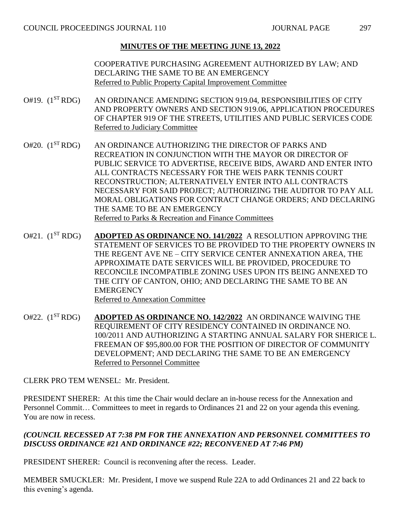COOPERATIVE PURCHASING AGREEMENT AUTHORIZED BY LAW; AND DECLARING THE SAME TO BE AN EMERGENCY Referred to Public Property Capital Improvement Committee

- $O#19.$   $(1^{ST}RDG)$  AN ORDINANCE AMENDING SECTION 919.04, RESPONSIBILITIES OF CITY AND PROPERTY OWNERS AND SECTION 919.06, APPLICATION PROCEDURES OF CHAPTER 919 OF THE STREETS, UTILITIES AND PUBLIC SERVICES CODE Referred to Judiciary Committee
- O#20. (1<sup>ST</sup> RDG) AN ORDINANCE AUTHORIZING THE DIRECTOR OF PARKS AND RECREATION IN CONJUNCTION WITH THE MAYOR OR DIRECTOR OF PUBLIC SERVICE TO ADVERTISE, RECEIVE BIDS, AWARD AND ENTER INTO ALL CONTRACTS NECESSARY FOR THE WEIS PARK TENNIS COURT RECONSTRUCTION; ALTERNATIVELY ENTER INTO ALL CONTRACTS NECESSARY FOR SAID PROJECT; AUTHORIZING THE AUDITOR TO PAY ALL MORAL OBLIGATIONS FOR CONTRACT CHANGE ORDERS; AND DECLARING THE SAME TO BE AN EMERGENCY Referred to Parks & Recreation and Finance Committees
- O#21. (1ST RDG) **ADOPTED AS ORDINANCE NO. 141/2022** A RESOLUTION APPROVING THE STATEMENT OF SERVICES TO BE PROVIDED TO THE PROPERTY OWNERS IN THE REGENT AVE NE – CITY SERVICE CENTER ANNEXATION AREA, THE APPROXIMATE DATE SERVICES WILL BE PROVIDED, PROCEDURE TO RECONCILE INCOMPATIBLE ZONING USES UPON ITS BEING ANNEXED TO THE CITY OF CANTON, OHIO; AND DECLARING THE SAME TO BE AN **EMERGENCY** Referred to Annexation Committee
- O#22. (1ST RDG) **ADOPTED AS ORDINANCE NO. 142/2022** AN ORDINANCE WAIVING THE REQUIREMENT OF CITY RESIDENCY CONTAINED IN ORDINANCE NO. 100/2011 AND AUTHORIZING A STARTING ANNUAL SALARY FOR SHERICE L. FREEMAN OF \$95,800.00 FOR THE POSITION OF DIRECTOR OF COMMUNITY DEVELOPMENT; AND DECLARING THE SAME TO BE AN EMERGENCY Referred to Personnel Committee

CLERK PRO TEM WENSEL: Mr. President.

PRESIDENT SHERER: At this time the Chair would declare an in-house recess for the Annexation and Personnel Commit… Committees to meet in regards to Ordinances 21 and 22 on your agenda this evening. You are now in recess.

# *(COUNCIL RECESSED AT 7:38 PM FOR THE ANNEXATION AND PERSONNEL COMMITTEES TO DISCUSS ORDINANCE #21 AND ORDINANCE #22; RECONVENED AT 7:46 PM)*

PRESIDENT SHERER: Council is reconvening after the recess. Leader.

MEMBER SMUCKLER: Mr. President, I move we suspend Rule 22A to add Ordinances 21 and 22 back to this evening's agenda.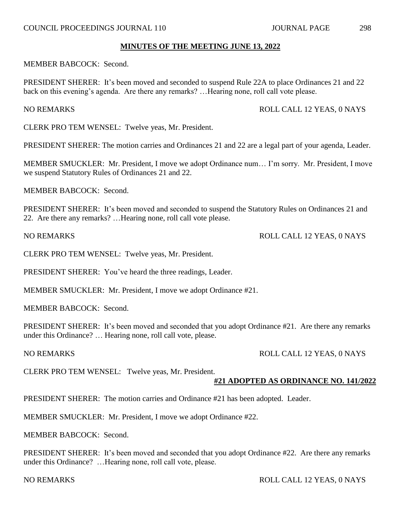MEMBER BABCOCK: Second.

PRESIDENT SHERER: It's been moved and seconded to suspend Rule 22A to place Ordinances 21 and 22 back on this evening's agenda. Are there any remarks? …Hearing none, roll call vote please.

## CLERK PRO TEM WENSEL: Twelve yeas, Mr. President.

PRESIDENT SHERER: The motion carries and Ordinances 21 and 22 are a legal part of your agenda, Leader.

MEMBER SMUCKLER: Mr. President, I move we adopt Ordinance num… I'm sorry. Mr. President, I move we suspend Statutory Rules of Ordinances 21 and 22.

MEMBER BABCOCK: Second.

PRESIDENT SHERER: It's been moved and seconded to suspend the Statutory Rules on Ordinances 21 and 22. Are there any remarks? …Hearing none, roll call vote please.

CLERK PRO TEM WENSEL: Twelve yeas, Mr. President.

PRESIDENT SHERER: You've heard the three readings, Leader.

MEMBER SMUCKLER: Mr. President, I move we adopt Ordinance #21.

MEMBER BABCOCK: Second.

PRESIDENT SHERER: It's been moved and seconded that you adopt Ordinance #21. Are there any remarks under this Ordinance? … Hearing none, roll call vote, please.

# NO REMARKS ROLL CALL 12 YEAS, 0 NAYS

CLERK PRO TEM WENSEL: Twelve yeas, Mr. President.

# **#21 ADOPTED AS ORDINANCE NO. 141/2022**

PRESIDENT SHERER: The motion carries and Ordinance #21 has been adopted. Leader.

MEMBER SMUCKLER: Mr. President, I move we adopt Ordinance #22.

MEMBER BABCOCK: Second.

PRESIDENT SHERER: It's been moved and seconded that you adopt Ordinance #22. Are there any remarks under this Ordinance? …Hearing none, roll call vote, please.

NO REMARKS ROLL CALL 12 YEAS, 0 NAYS

#### NO REMARKS ROLL CALL 12 YEAS, 0 NAYS

NO REMARKS ROLL CALL 12 YEAS, 0 NAYS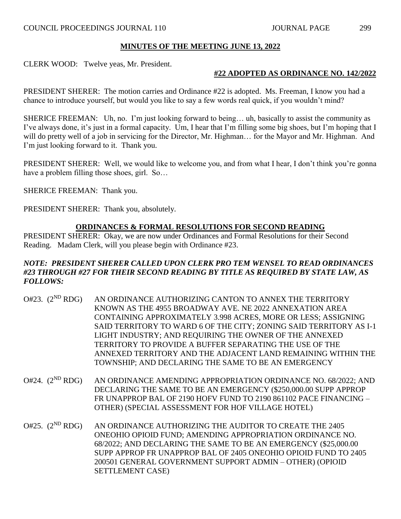CLERK WOOD: Twelve yeas, Mr. President.

# **#22 ADOPTED AS ORDINANCE NO. 142/2022**

PRESIDENT SHERER: The motion carries and Ordinance #22 is adopted. Ms. Freeman, I know you had a chance to introduce yourself, but would you like to say a few words real quick, if you wouldn't mind?

SHERICE FREEMAN: Uh, no. I'm just looking forward to being… uh, basically to assist the community as I've always done, it's just in a formal capacity. Um, I hear that I'm filling some big shoes, but I'm hoping that I will do pretty well of a job in servicing for the Director, Mr. Highman… for the Mayor and Mr. Highman. And I'm just looking forward to it. Thank you.

PRESIDENT SHERER: Well, we would like to welcome you, and from what I hear, I don't think you're gonna have a problem filling those shoes, girl. So…

SHERICE FREEMAN: Thank you.

PRESIDENT SHERER: Thank you, absolutely.

# **ORDINANCES & FORMAL RESOLUTIONS FOR SECOND READING**

PRESIDENT SHERER: Okay, we are now under Ordinances and Formal Resolutions for their Second Reading. Madam Clerk, will you please begin with Ordinance #23.

#### *NOTE: PRESIDENT SHERER CALLED UPON CLERK PRO TEM WENSEL TO READ ORDINANCES #23 THROUGH #27 FOR THEIR SECOND READING BY TITLE AS REQUIRED BY STATE LAW, AS FOLLOWS:*

- O#23.  $(2^{ND} RDG)$ AN ORDINANCE AUTHORIZING CANTON TO ANNEX THE TERRITORY KNOWN AS THE 4955 BROADWAY AVE. NE 2022 ANNEXATION AREA CONTAINING APPROXIMATELY 3.998 ACRES, MORE OR LESS; ASSIGNING SAID TERRITORY TO WARD 6 OF THE CITY; ZONING SAID TERRITORY AS I-1 LIGHT INDUSTRY; AND REQUIRING THE OWNER OF THE ANNEXED TERRITORY TO PROVIDE A BUFFER SEPARATING THE USE OF THE ANNEXED TERRITORY AND THE ADJACENT LAND REMAINING WITHIN THE TOWNSHIP; AND DECLARING THE SAME TO BE AN EMERGENCY
- O#24.  $(2^{ND} RDG)$ AN ORDINANCE AMENDING APPROPRIATION ORDINANCE NO. 68/2022; AND DECLARING THE SAME TO BE AN EMERGENCY (\$250,000.00 SUPP APPROP FR UNAPPROP BAL OF 2190 HOFV FUND TO 2190 861102 PACE FINANCING – OTHER) (SPECIAL ASSESSMENT FOR HOF VILLAGE HOTEL)
- O#25.  $(2^{ND} RDG)$ AN ORDINANCE AUTHORIZING THE AUDITOR TO CREATE THE 2405 ONEOHIO OPIOID FUND; AMENDING APPROPRIATION ORDINANCE NO. 68/2022; AND DECLARING THE SAME TO BE AN EMERGENCY (\$25,000.00 SUPP APPROP FR UNAPPROP BAL OF 2405 ONEOHIO OPIOID FUND TO 2405 200501 GENERAL GOVERNMENT SUPPORT ADMIN – OTHER) (OPIOID SETTLEMENT CASE)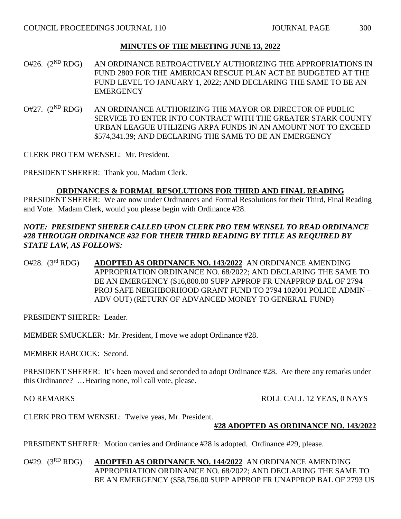O#26. (2<sup>ND</sup> RDG) AN ORDINANCE RETROACTIVELY AUTHORIZING THE APPROPRIATIONS IN FUND 2809 FOR THE AMERICAN RESCUE PLAN ACT BE BUDGETED AT THE FUND LEVEL TO JANUARY 1, 2022; AND DECLARING THE SAME TO BE AN **EMERGENCY** 

 $O#27.$   $(2^{ND}$  RDG) AN ORDINANCE AUTHORIZING THE MAYOR OR DIRECTOR OF PUBLIC SERVICE TO ENTER INTO CONTRACT WITH THE GREATER STARK COUNTY URBAN LEAGUE UTILIZING ARPA FUNDS IN AN AMOUNT NOT TO EXCEED \$574,341.39; AND DECLARING THE SAME TO BE AN EMERGENCY

CLERK PRO TEM WENSEL: Mr. President.

PRESIDENT SHERER: Thank you, Madam Clerk.

#### **ORDINANCES & FORMAL RESOLUTIONS FOR THIRD AND FINAL READING**

PRESIDENT SHERER: We are now under Ordinances and Formal Resolutions for their Third, Final Reading and Vote. Madam Clerk, would you please begin with Ordinance #28.

## *NOTE: PRESIDENT SHERER CALLED UPON CLERK PRO TEM WENSEL TO READ ORDINANCE #28 THROUGH ORDINANCE #32 FOR THEIR THIRD READING BY TITLE AS REQUIRED BY STATE LAW, AS FOLLOWS:*

O#28. (3rd RDG) **ADOPTED AS ORDINANCE NO. 143/2022** AN ORDINANCE AMENDING APPROPRIATION ORDINANCE NO. 68/2022; AND DECLARING THE SAME TO BE AN EMERGENCY (\$16,800.00 SUPP APPROP FR UNAPPROP BAL OF 2794 PROJ SAFE NEIGHBORHOOD GRANT FUND TO 2794 102001 POLICE ADMIN – ADV OUT) (RETURN OF ADVANCED MONEY TO GENERAL FUND)

PRESIDENT SHERER: Leader.

MEMBER SMUCKLER: Mr. President, I move we adopt Ordinance #28.

MEMBER BABCOCK: Second.

PRESIDENT SHERER: It's been moved and seconded to adopt Ordinance #28. Are there any remarks under this Ordinance? …Hearing none, roll call vote, please.

NO REMARKS ROLL CALL 12 YEAS, 0 NAYS

CLERK PRO TEM WENSEL: Twelve yeas, Mr. President.

#### **#28 ADOPTED AS ORDINANCE NO. 143/2022**

PRESIDENT SHERER: Motion carries and Ordinance #28 is adopted. Ordinance #29, please.

O#29. (3RD RDG) **ADOPTED AS ORDINANCE NO. 144/2022** AN ORDINANCE AMENDING APPROPRIATION ORDINANCE NO. 68/2022; AND DECLARING THE SAME TO BE AN EMERGENCY (\$58,756.00 SUPP APPROP FR UNAPPROP BAL OF 2793 US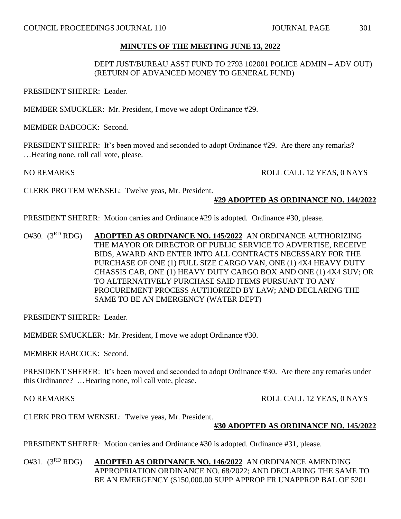#### DEPT JUST/BUREAU ASST FUND TO 2793 102001 POLICE ADMIN – ADV OUT) (RETURN OF ADVANCED MONEY TO GENERAL FUND)

PRESIDENT SHERER: Leader.

MEMBER SMUCKLER: Mr. President, I move we adopt Ordinance #29.

MEMBER BABCOCK: Second.

PRESIDENT SHERER: It's been moved and seconded to adopt Ordinance #29. Are there any remarks? …Hearing none, roll call vote, please.

NO REMARKS ROLL CALL 12 YEAS, 0 NAYS

CLERK PRO TEM WENSEL: Twelve yeas, Mr. President.

#### **#29 ADOPTED AS ORDINANCE NO. 144/2022**

PRESIDENT SHERER: Motion carries and Ordinance #29 is adopted. Ordinance #30, please.

O#30. (3RD RDG) **ADOPTED AS ORDINANCE NO. 145/2022** AN ORDINANCE AUTHORIZING THE MAYOR OR DIRECTOR OF PUBLIC SERVICE TO ADVERTISE, RECEIVE BIDS, AWARD AND ENTER INTO ALL CONTRACTS NECESSARY FOR THE PURCHASE OF ONE (1) FULL SIZE CARGO VAN, ONE (1) 4X4 HEAVY DUTY CHASSIS CAB, ONE (1) HEAVY DUTY CARGO BOX AND ONE (1) 4X4 SUV; OR TO ALTERNATIVELY PURCHASE SAID ITEMS PURSUANT TO ANY PROCUREMENT PROCESS AUTHORIZED BY LAW; AND DECLARING THE SAME TO BE AN EMERGENCY (WATER DEPT)

PRESIDENT SHERER: Leader.

MEMBER SMUCKLER: Mr. President, I move we adopt Ordinance #30.

MEMBER BABCOCK: Second.

PRESIDENT SHERER: It's been moved and seconded to adopt Ordinance #30. Are there any remarks under this Ordinance? …Hearing none, roll call vote, please.

NO REMARKS ROLL CALL 12 YEAS, 0 NAYS

CLERK PRO TEM WENSEL: Twelve yeas, Mr. President.

#### **#30 ADOPTED AS ORDINANCE NO. 145/2022**

PRESIDENT SHERER: Motion carries and Ordinance #30 is adopted. Ordinance #31, please.

O#31. (3RD RDG) **ADOPTED AS ORDINANCE NO. 146/2022** AN ORDINANCE AMENDING APPROPRIATION ORDINANCE NO. 68/2022; AND DECLARING THE SAME TO BE AN EMERGENCY (\$150,000.00 SUPP APPROP FR UNAPPROP BAL OF 5201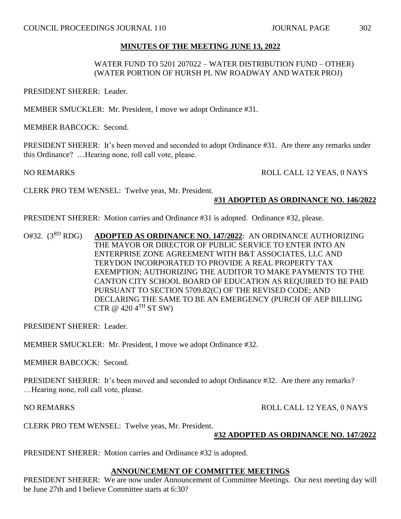## WATER FUND TO 5201 207022 – WATER DISTRIBUTION FUND – OTHER) (WATER PORTION OF HURSH PL NW ROADWAY AND WATER PROJ)

PRESIDENT SHERER: Leader.

MEMBER SMUCKLER: Mr. President, I move we adopt Ordinance #31.

MEMBER BABCOCK: Second.

PRESIDENT SHERER: It's been moved and seconded to adopt Ordinance #31. Are there any remarks under this Ordinance? …Hearing none, roll call vote, please.

NO REMARKS ROLL CALL 12 YEAS, 0 NAYS

CLERK PRO TEM WENSEL: Twelve yeas, Mr. President.

#### **#31 ADOPTED AS ORDINANCE NO. 146/2022**

PRESIDENT SHERER: Motion carries and Ordinance #31 is adopted. Ordinance #32, please.

O#32. (3RD RDG) **ADOPTED AS ORDINANCE NO. 147/2022**: AN ORDINANCE AUTHORIZING THE MAYOR OR DIRECTOR OF PUBLIC SERVICE TO ENTER INTO AN ENTERPRISE ZONE AGREEMENT WITH B&T ASSOCIATES, LLC AND TERYDON INCORPORATED TO PROVIDE A REAL PROPERTY TAX EXEMPTION; AUTHORIZING THE AUDITOR TO MAKE PAYMENTS TO THE CANTON CITY SCHOOL BOARD OF EDUCATION AS REQUIRED TO BE PAID PURSUANT TO SECTION 5709.82(C) OF THE REVISED CODE; AND DECLARING THE SAME TO BE AN EMERGENCY (PURCH OF AEP BILLING CTR @  $420 \, 4$ <sup>TH</sup> ST SW)

PRESIDENT SHERER: Leader.

MEMBER SMUCKLER: Mr. President, I move we adopt Ordinance #32.

MEMBER BABCOCK: Second.

PRESIDENT SHERER: It's been moved and seconded to adopt Ordinance #32. Are there any remarks? …Hearing none, roll call vote, please.

NO REMARKS ROLL CALL 12 YEAS, 0 NAYS

CLERK PRO TEM WENSEL: Twelve yeas, Mr. President.

#### **#32 ADOPTED AS ORDINANCE NO. 147/2022**

PRESIDENT SHERER: Motion carries and Ordinance #32 is adopted.

#### **ANNOUNCEMENT OF COMMITTEE MEETINGS**

PRESIDENT SHERER: We are now under Announcement of Committee Meetings. Our next meeting day will be June 27th and I believe Committee starts at 6:30?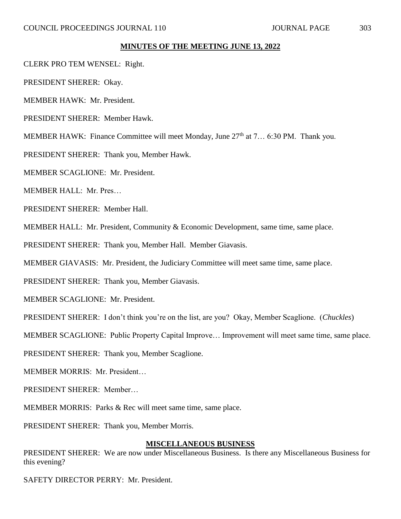- CLERK PRO TEM WENSEL: Right.
- PRESIDENT SHERER: Okay.
- MEMBER HAWK: Mr. President.
- PRESIDENT SHERER: Member Hawk.
- MEMBER HAWK: Finance Committee will meet Monday, June  $27<sup>th</sup>$  at 7... 6:30 PM. Thank you.
- PRESIDENT SHERER: Thank you, Member Hawk.
- MEMBER SCAGLIONE: Mr. President.
- MEMBER HALL: Mr. Pres…
- PRESIDENT SHERER: Member Hall.
- MEMBER HALL: Mr. President, Community & Economic Development, same time, same place.
- PRESIDENT SHERER: Thank you, Member Hall. Member Giavasis.
- MEMBER GIAVASIS: Mr. President, the Judiciary Committee will meet same time, same place.
- PRESIDENT SHERER: Thank you, Member Giavasis.
- MEMBER SCAGLIONE: Mr. President.
- PRESIDENT SHERER: I don't think you're on the list, are you? Okay, Member Scaglione. (*Chuckles*)
- MEMBER SCAGLIONE: Public Property Capital Improve… Improvement will meet same time, same place.
- PRESIDENT SHERER: Thank you, Member Scaglione.
- MEMBER MORRIS: Mr. President…
- PRESIDENT SHERER: Member…
- MEMBER MORRIS: Parks & Rec will meet same time, same place.
- PRESIDENT SHERER: Thank you, Member Morris.

#### **MISCELLANEOUS BUSINESS**

PRESIDENT SHERER: We are now under Miscellaneous Business. Is there any Miscellaneous Business for this evening?

SAFETY DIRECTOR PERRY: Mr. President.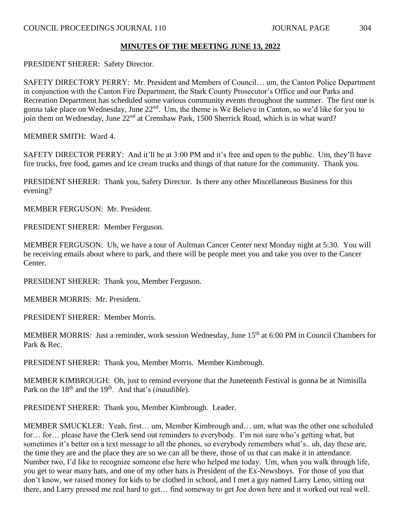PRESIDENT SHERER: Safety Director.

SAFETY DIRECTORY PERRY: Mr. President and Members of Council… um, the Canton Police Department in conjunction with the Canton Fire Department, the Stark County Prosecutor's Office and our Parks and Recreation Department has scheduled some various community events throughout the summer. The first one is gonna take place on Wednesday, June 22<sup>nd</sup>. Um, the theme is We Believe in Canton, so we'd like for you to join them on Wednesday, June  $22<sup>nd</sup>$  at Crenshaw Park, 1500 Sherrick Road, which is in what ward?

MEMBER SMITH: Ward 4.

SAFETY DIRECTOR PERRY: And it'll be at 3:00 PM and it's free and open to the public. Um, they'll have fire trucks, free food, games and ice cream trucks and things of that nature for the community. Thank you.

PRESIDENT SHERER: Thank you, Safety Director. Is there any other Miscellaneous Business for this evening?

MEMBER FERGUSON: Mr. President.

PRESIDENT SHERER: Member Ferguson.

MEMBER FERGUSON: Uh, we have a tour of Aultman Cancer Center next Monday night at 5:30. You will be receiving emails about where to park, and there will be people meet you and take you over to the Cancer Center.

PRESIDENT SHERER: Thank you, Member Ferguson.

MEMBER MORRIS: Mr. President.

PRESIDENT SHERER: Member Morris.

MEMBER MORRIS: Just a reminder, work session Wednesday, June 15<sup>th</sup> at 6:00 PM in Council Chambers for Park & Rec.

PRESIDENT SHERER: Thank you, Member Morris. Member Kimbrough.

MEMBER KIMBROUGH: Oh, just to remind everyone that the Juneteenth Festival is gonna be at Nimisilla Park on the 18<sup>th</sup> and the 19<sup>th</sup>. And that's (*inaudible*).

PRESIDENT SHERER: Thank you, Member Kimbrough. Leader.

MEMBER SMUCKLER: Yeah, first… um, Member Kimbrough and… um, what was the other one scheduled for... for... please have the Clerk send out reminders to everybody. I'm not sure who's getting what, but sometimes it's better on a text message to all the phones, so everybody remembers what's.. uh, day these are, the time they are and the place they are so we can all be there, those of us that can make it in attendance. Number two, I'd like to recognize someone else here who helped me today. Um, when you walk through life, you get to wear many hats, and one of my other hats is President of the Ex-Newsboys. For those of you that don't know, we raised money for kids to be clothed in school, and I met a guy named Larry Leno, sitting out there, and Larry pressed me real hard to get… find someway to get Joe down here and it worked out real well.